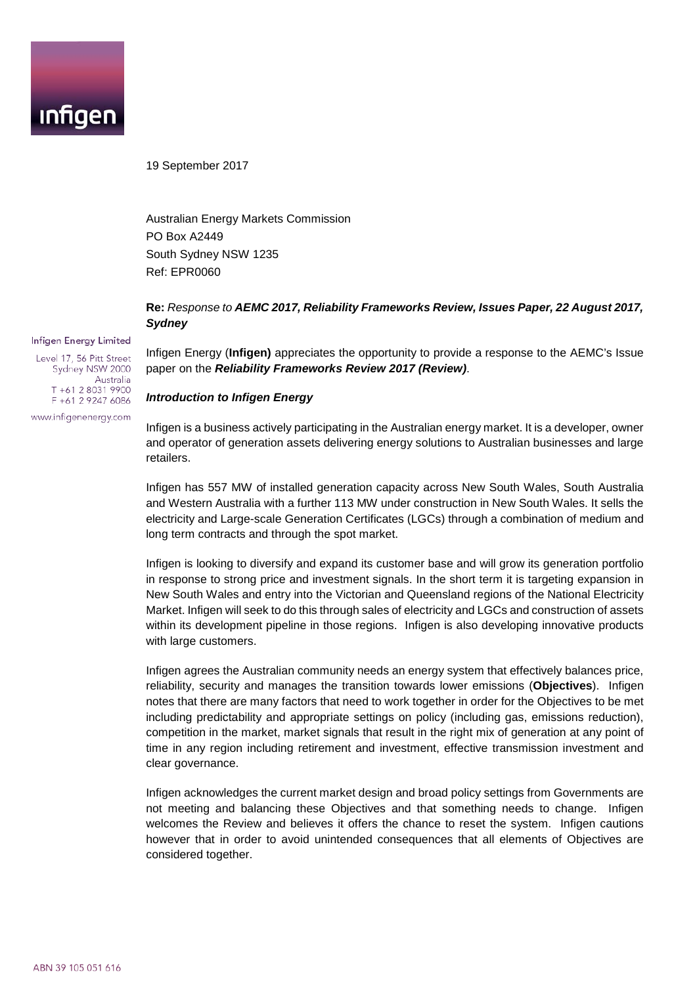

19 September 2017

Australian Energy Markets Commission PO Box A2449 South Sydney NSW 1235 Ref: EPR0060

## **Re:** *Response to AEMC 2017, Reliability Frameworks Review, Issues Paper, 22 August 2017, Sydney*

Infigen Energy Limited

Level 17, 56 Pitt Street Sydney NSW 2000 Australia  $T + 61280319900$ F +61 2 9247 6086

www.infigenenergy.com

Infigen Energy (**Infigen)** appreciates the opportunity to provide a response to the AEMC's Issue paper on the *Reliability Frameworks Review 2017 (Review)*.

#### *Introduction to Infigen Energy*

Infigen is a business actively participating in the Australian energy market. It is a developer, owner and operator of generation assets delivering energy solutions to Australian businesses and large retailers.

Infigen has 557 MW of installed generation capacity across New South Wales, South Australia and Western Australia with a further 113 MW under construction in New South Wales. It sells the electricity and Large-scale Generation Certificates (LGCs) through a combination of medium and long term contracts and through the spot market.

Infigen is looking to diversify and expand its customer base and will grow its generation portfolio in response to strong price and investment signals. In the short term it is targeting expansion in New South Wales and entry into the Victorian and Queensland regions of the National Electricity Market. Infigen will seek to do this through sales of electricity and LGCs and construction of assets within its development pipeline in those regions. Infigen is also developing innovative products with large customers.

Infigen agrees the Australian community needs an energy system that effectively balances price, reliability, security and manages the transition towards lower emissions (**Objectives**). Infigen notes that there are many factors that need to work together in order for the Objectives to be met including predictability and appropriate settings on policy (including gas, emissions reduction), competition in the market, market signals that result in the right mix of generation at any point of time in any region including retirement and investment, effective transmission investment and clear governance.

Infigen acknowledges the current market design and broad policy settings from Governments are not meeting and balancing these Objectives and that something needs to change. Infigen welcomes the Review and believes it offers the chance to reset the system. Infigen cautions however that in order to avoid unintended consequences that all elements of Objectives are considered together.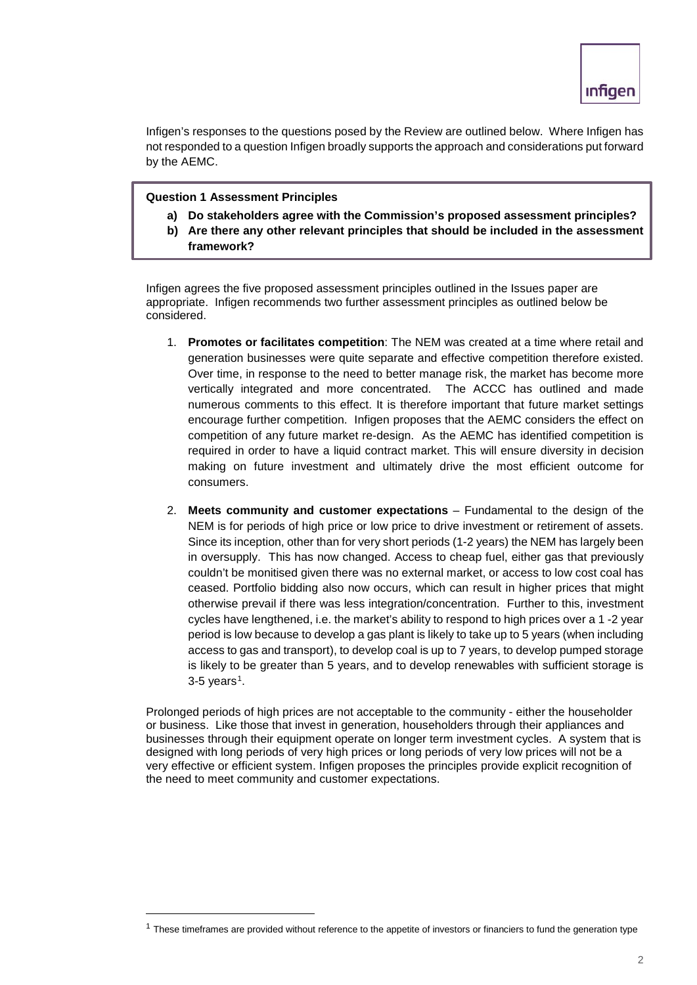Infigen's responses to the questions posed by the Review are outlined below. Where Infigen has not responded to a question Infigen broadly supports the approach and considerations put forward by the AEMC.

# **Question 1 Assessment Principles**

- **a) Do stakeholders agree with the Commission's proposed assessment principles?**
- **b) Are there any other relevant principles that should be included in the assessment framework?**

Infigen agrees the five proposed assessment principles outlined in the Issues paper are appropriate. Infigen recommends two further assessment principles as outlined below be considered.

- 1. **Promotes or facilitates competition**: The NEM was created at a time where retail and generation businesses were quite separate and effective competition therefore existed. Over time, in response to the need to better manage risk, the market has become more vertically integrated and more concentrated. The ACCC has outlined and made numerous comments to this effect. It is therefore important that future market settings encourage further competition. Infigen proposes that the AEMC considers the effect on competition of any future market re-design. As the AEMC has identified competition is required in order to have a liquid contract market. This will ensure diversity in decision making on future investment and ultimately drive the most efficient outcome for consumers.
- 2. **Meets community and customer expectations** Fundamental to the design of the NEM is for periods of high price or low price to drive investment or retirement of assets. Since its inception, other than for very short periods (1-2 years) the NEM has largely been in oversupply. This has now changed. Access to cheap fuel, either gas that previously couldn't be monitised given there was no external market, or access to low cost coal has ceased. Portfolio bidding also now occurs, which can result in higher prices that might otherwise prevail if there was less integration/concentration. Further to this, investment cycles have lengthened, i.e. the market's ability to respond to high prices over a 1 -2 year period is low because to develop a gas plant is likely to take up to 5 years (when including access to gas and transport), to develop coal is up to 7 years, to develop pumped storage is likely to be greater than 5 years, and to develop renewables with sufficient storage is  $3-5$  years<sup>1</sup>.

Prolonged periods of high prices are not acceptable to the community - either the householder or business. Like those that invest in generation, householders through their appliances and businesses through their equipment operate on longer term investment cycles. A system that is designed with long periods of very high prices or long periods of very low prices will not be a very effective or efficient system. Infigen proposes the principles provide explicit recognition of the need to meet community and customer expectations.

<span id="page-1-0"></span> $1$  These timeframes are provided without reference to the appetite of investors or financiers to fund the generation type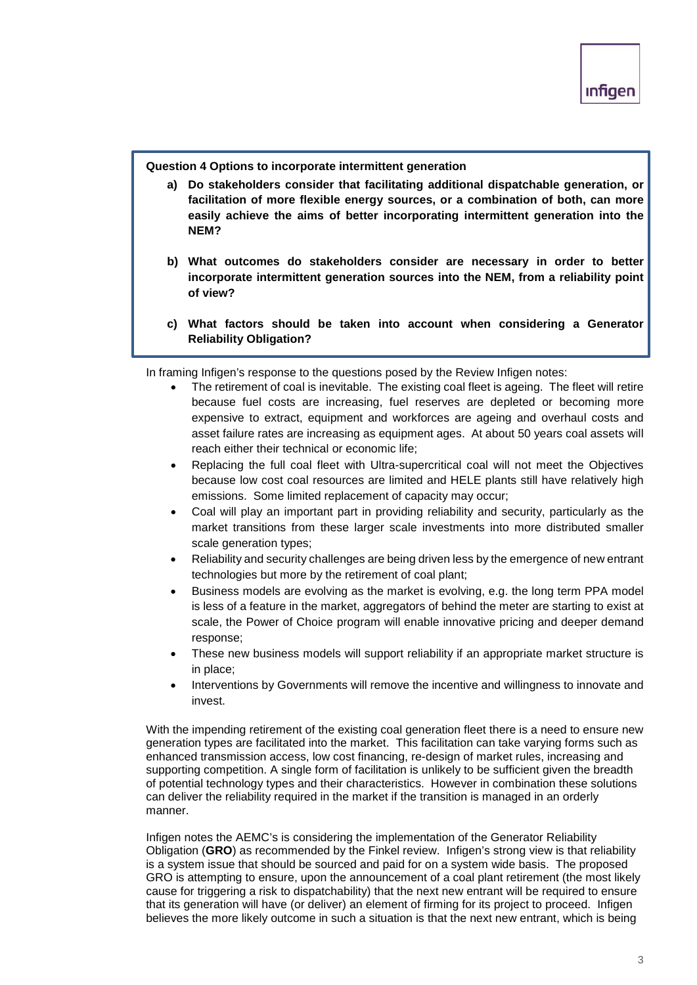**Question 4 Options to incorporate intermittent generation** 

- **a) Do stakeholders consider that facilitating additional dispatchable generation, or facilitation of more flexible energy sources, or a combination of both, can more easily achieve the aims of better incorporating intermittent generation into the NEM?**
- **b) What outcomes do stakeholders consider are necessary in order to better incorporate intermittent generation sources into the NEM, from a reliability point of view?**
- **c) What factors should be taken into account when considering a Generator Reliability Obligation?**

In framing Infigen's response to the questions posed by the Review Infigen notes:

- The retirement of coal is inevitable. The existing coal fleet is ageing. The fleet will retire because fuel costs are increasing, fuel reserves are depleted or becoming more expensive to extract, equipment and workforces are ageing and overhaul costs and asset failure rates are increasing as equipment ages. At about 50 years coal assets will reach either their technical or economic life;
- Replacing the full coal fleet with Ultra-supercritical coal will not meet the Objectives because low cost coal resources are limited and HELE plants still have relatively high emissions. Some limited replacement of capacity may occur;
- Coal will play an important part in providing reliability and security, particularly as the market transitions from these larger scale investments into more distributed smaller scale generation types;
- Reliability and security challenges are being driven less by the emergence of new entrant technologies but more by the retirement of coal plant;
- Business models are evolving as the market is evolving, e.g. the long term PPA model is less of a feature in the market, aggregators of behind the meter are starting to exist at scale, the Power of Choice program will enable innovative pricing and deeper demand response;
- These new business models will support reliability if an appropriate market structure is in place;
- Interventions by Governments will remove the incentive and willingness to innovate and invest.

With the impending retirement of the existing coal generation fleet there is a need to ensure new generation types are facilitated into the market. This facilitation can take varying forms such as enhanced transmission access, low cost financing, re-design of market rules, increasing and supporting competition. A single form of facilitation is unlikely to be sufficient given the breadth of potential technology types and their characteristics. However in combination these solutions can deliver the reliability required in the market if the transition is managed in an orderly manner.

Infigen notes the AEMC's is considering the implementation of the Generator Reliability Obligation (**GRO**) as recommended by the Finkel review. Infigen's strong view is that reliability is a system issue that should be sourced and paid for on a system wide basis. The proposed GRO is attempting to ensure, upon the announcement of a coal plant retirement (the most likely cause for triggering a risk to dispatchability) that the next new entrant will be required to ensure that its generation will have (or deliver) an element of firming for its project to proceed. Infigen believes the more likely outcome in such a situation is that the next new entrant, which is being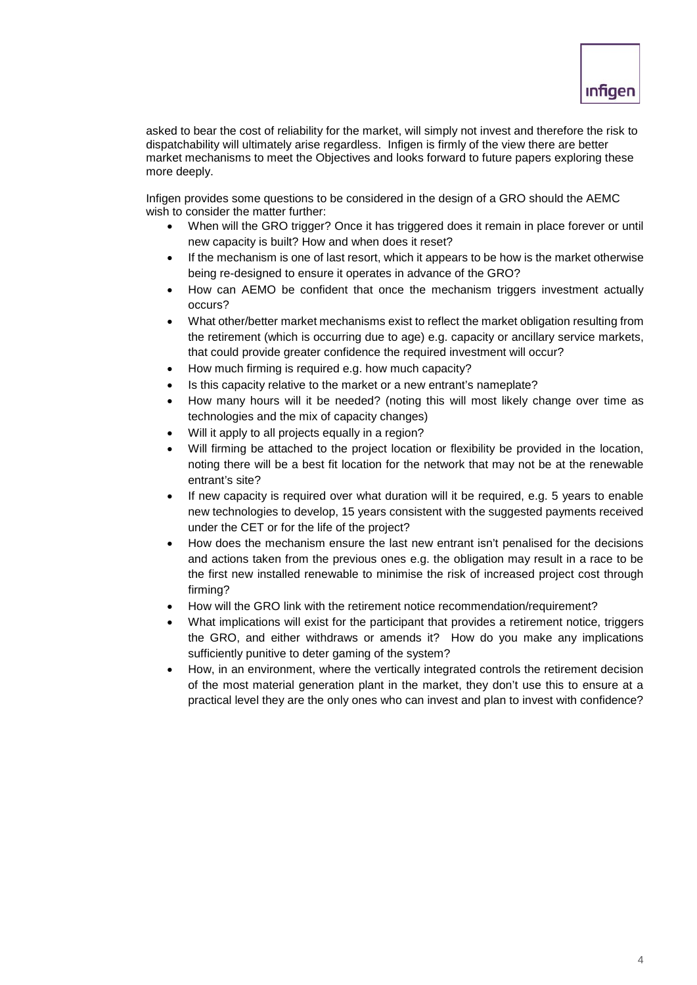asked to bear the cost of reliability for the market, will simply not invest and therefore the risk to dispatchability will ultimately arise regardless. Infigen is firmly of the view there are better market mechanisms to meet the Objectives and looks forward to future papers exploring these more deeply.

Infigen provides some questions to be considered in the design of a GRO should the AEMC wish to consider the matter further:

- When will the GRO trigger? Once it has triggered does it remain in place forever or until new capacity is built? How and when does it reset?
- If the mechanism is one of last resort, which it appears to be how is the market otherwise being re-designed to ensure it operates in advance of the GRO?
- How can AEMO be confident that once the mechanism triggers investment actually occurs?
- What other/better market mechanisms exist to reflect the market obligation resulting from the retirement (which is occurring due to age) e.g. capacity or ancillary service markets, that could provide greater confidence the required investment will occur?
- How much firming is required e.g. how much capacity?
- Is this capacity relative to the market or a new entrant's nameplate?
- How many hours will it be needed? (noting this will most likely change over time as technologies and the mix of capacity changes)
- Will it apply to all projects equally in a region?
- Will firming be attached to the project location or flexibility be provided in the location, noting there will be a best fit location for the network that may not be at the renewable entrant's site?
- If new capacity is required over what duration will it be required, e.g. 5 years to enable new technologies to develop, 15 years consistent with the suggested payments received under the CET or for the life of the project?
- How does the mechanism ensure the last new entrant isn't penalised for the decisions and actions taken from the previous ones e.g. the obligation may result in a race to be the first new installed renewable to minimise the risk of increased project cost through firming?
- How will the GRO link with the retirement notice recommendation/requirement?
- What implications will exist for the participant that provides a retirement notice, triggers the GRO, and either withdraws or amends it? How do you make any implications sufficiently punitive to deter gaming of the system?
- How, in an environment, where the vertically integrated controls the retirement decision of the most material generation plant in the market, they don't use this to ensure at a practical level they are the only ones who can invest and plan to invest with confidence?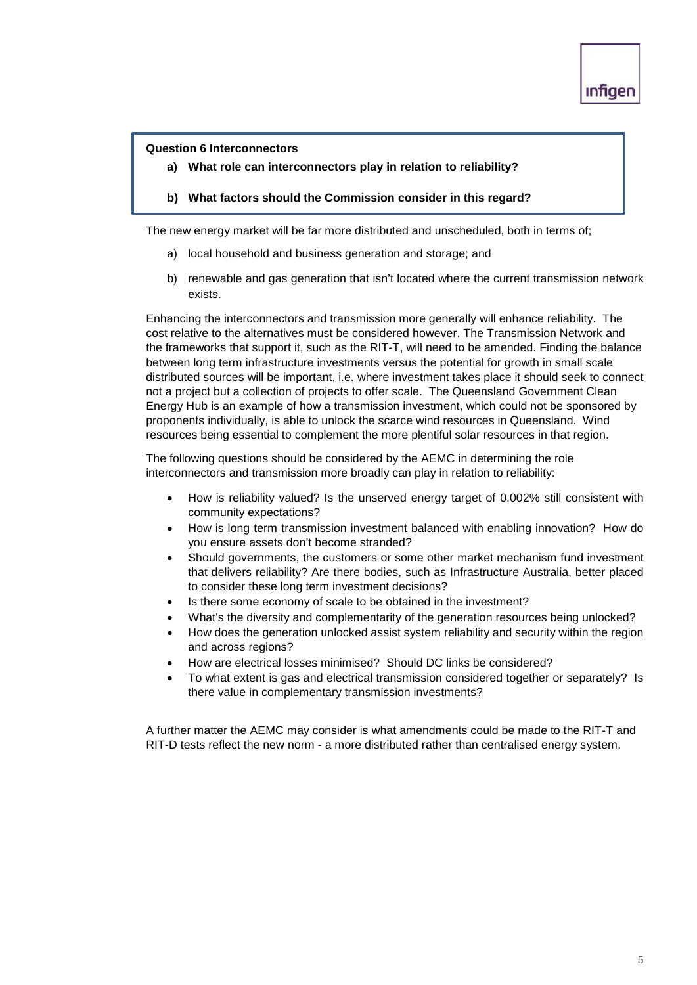### **Question 6 Interconnectors**

- **a) What role can interconnectors play in relation to reliability?**
- **b) What factors should the Commission consider in this regard?**

The new energy market will be far more distributed and unscheduled, both in terms of;

- a) local household and business generation and storage; and
- b) renewable and gas generation that isn't located where the current transmission network exists.

Enhancing the interconnectors and transmission more generally will enhance reliability. The cost relative to the alternatives must be considered however. The Transmission Network and the frameworks that support it, such as the RIT-T, will need to be amended. Finding the balance between long term infrastructure investments versus the potential for growth in small scale distributed sources will be important, i.e. where investment takes place it should seek to connect not a project but a collection of projects to offer scale. The Queensland Government Clean Energy Hub is an example of how a transmission investment, which could not be sponsored by proponents individually, is able to unlock the scarce wind resources in Queensland. Wind resources being essential to complement the more plentiful solar resources in that region.

The following questions should be considered by the AEMC in determining the role interconnectors and transmission more broadly can play in relation to reliability:

- How is reliability valued? Is the unserved energy target of 0.002% still consistent with community expectations?
- How is long term transmission investment balanced with enabling innovation? How do you ensure assets don't become stranded?
- Should governments, the customers or some other market mechanism fund investment that delivers reliability? Are there bodies, such as Infrastructure Australia, better placed to consider these long term investment decisions?
- Is there some economy of scale to be obtained in the investment?
- What's the diversity and complementarity of the generation resources being unlocked?
- How does the generation unlocked assist system reliability and security within the region and across regions?
- How are electrical losses minimised? Should DC links be considered?
- To what extent is gas and electrical transmission considered together or separately? Is there value in complementary transmission investments?

A further matter the AEMC may consider is what amendments could be made to the RIT-T and RIT-D tests reflect the new norm - a more distributed rather than centralised energy system.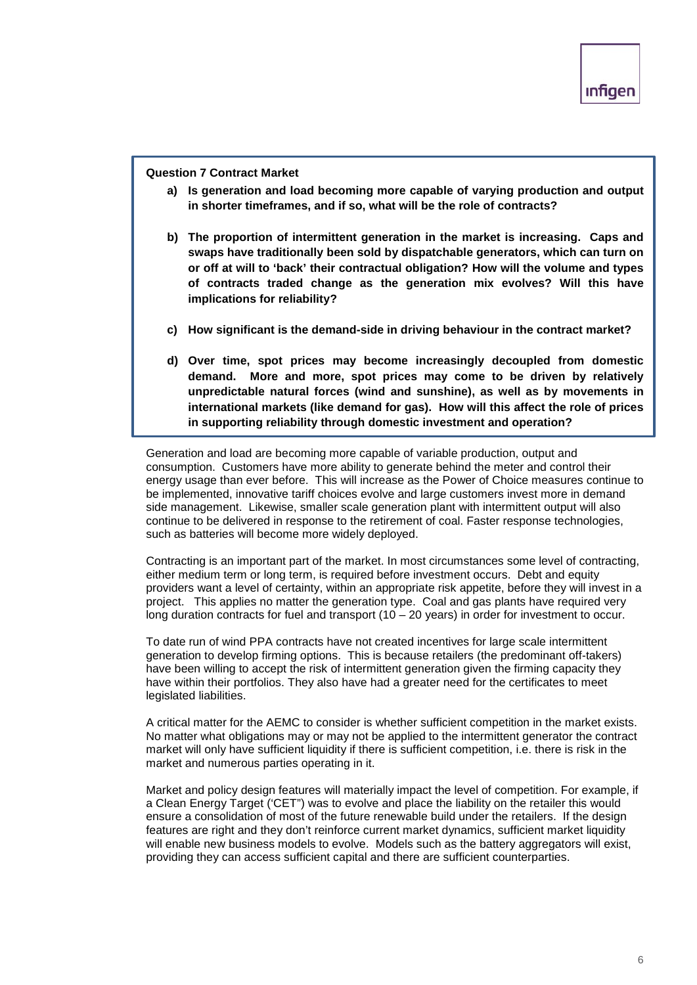**Question 7 Contract Market** 

- **a) Is generation and load becoming more capable of varying production and output in shorter timeframes, and if so, what will be the role of contracts?**
- **b) The proportion of intermittent generation in the market is increasing. Caps and swaps have traditionally been sold by dispatchable generators, which can turn on or off at will to 'back' their contractual obligation? How will the volume and types of contracts traded change as the generation mix evolves? Will this have implications for reliability?**
- **c) How significant is the demand-side in driving behaviour in the contract market?**
- **d) Over time, spot prices may become increasingly decoupled from domestic demand. More and more, spot prices may come to be driven by relatively unpredictable natural forces (wind and sunshine), as well as by movements in international markets (like demand for gas). How will this affect the role of prices in supporting reliability through domestic investment and operation?**

Generation and load are becoming more capable of variable production, output and consumption. Customers have more ability to generate behind the meter and control their energy usage than ever before. This will increase as the Power of Choice measures continue to be implemented, innovative tariff choices evolve and large customers invest more in demand side management. Likewise, smaller scale generation plant with intermittent output will also continue to be delivered in response to the retirement of coal. Faster response technologies, such as batteries will become more widely deployed.

Contracting is an important part of the market. In most circumstances some level of contracting, either medium term or long term, is required before investment occurs. Debt and equity providers want a level of certainty, within an appropriate risk appetite, before they will invest in a project. This applies no matter the generation type. Coal and gas plants have required very long duration contracts for fuel and transport (10 – 20 years) in order for investment to occur.

To date run of wind PPA contracts have not created incentives for large scale intermittent generation to develop firming options. This is because retailers (the predominant off-takers) have been willing to accept the risk of intermittent generation given the firming capacity they have within their portfolios. They also have had a greater need for the certificates to meet legislated liabilities.

A critical matter for the AEMC to consider is whether sufficient competition in the market exists. No matter what obligations may or may not be applied to the intermittent generator the contract market will only have sufficient liquidity if there is sufficient competition, i.e. there is risk in the market and numerous parties operating in it.

Market and policy design features will materially impact the level of competition. For example, if a Clean Energy Target ('CET") was to evolve and place the liability on the retailer this would ensure a consolidation of most of the future renewable build under the retailers. If the design features are right and they don't reinforce current market dynamics, sufficient market liquidity will enable new business models to evolve. Models such as the battery aggregators will exist, providing they can access sufficient capital and there are sufficient counterparties.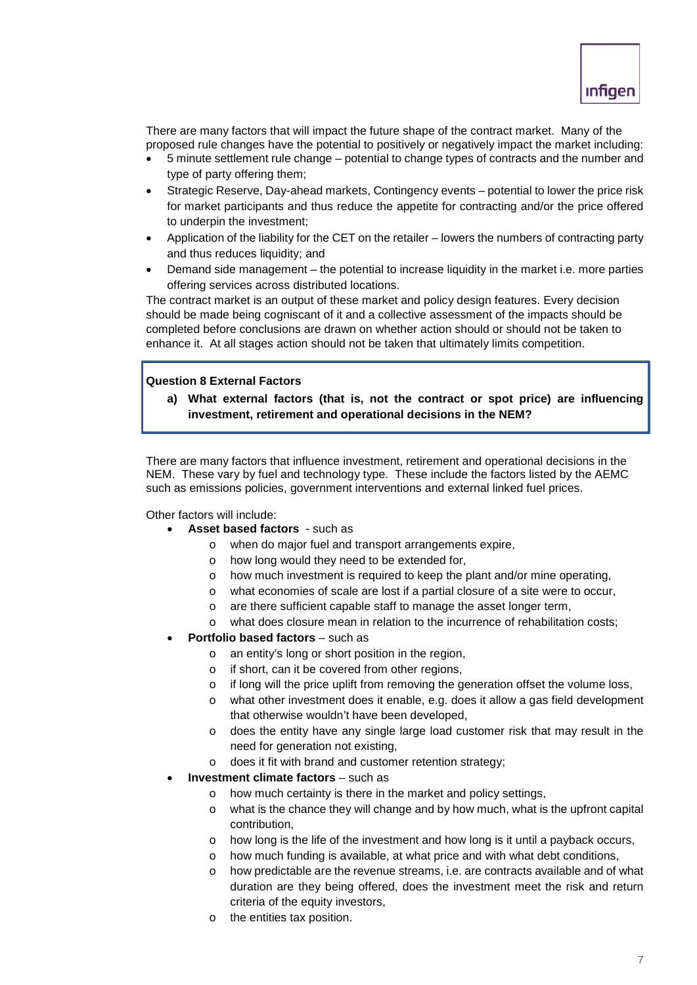

There are many factors that will impact the future shape of the contract market. Many of the proposed rule changes have the potential to positively or negatively impact the market including:

- 5 minute settlement rule change potential to change types of contracts and the number and type of party offering them;
- Strategic Reserve, Day-ahead markets, Contingency events potential to lower the price risk for market participants and thus reduce the appetite for contracting and/or the price offered to underpin the investment;
- Application of the liability for the CET on the retailer lowers the numbers of contracting party and thus reduces liquidity; and
- Demand side management the potential to increase liquidity in the market i.e. more parties offering services across distributed locations.

The contract market is an output of these market and policy design features. Every decision should be made being cogniscant of it and a collective assessment of the impacts should be completed before conclusions are drawn on whether action should or should not be taken to enhance it. At all stages action should not be taken that ultimately limits competition.

# **Question 8 External Factors**

**a) What external factors (that is, not the contract or spot price) are influencing investment, retirement and operational decisions in the NEM?**

There are many factors that influence investment, retirement and operational decisions in the NEM. These vary by fuel and technology type. These include the factors listed by the AEMC such as emissions policies, government interventions and external linked fuel prices.

Other factors will include:

- **Asset based factors** such as
	- o when do major fuel and transport arrangements expire,
	- o how long would they need to be extended for,
	- o how much investment is required to keep the plant and/or mine operating,
	- o what economies of scale are lost if a partial closure of a site were to occur,
	- o are there sufficient capable staff to manage the asset longer term,
	- o what does closure mean in relation to the incurrence of rehabilitation costs;
- **Portfolio based factors** such as
	- o an entity's long or short position in the region,
	- o if short, can it be covered from other regions,
	- o if long will the price uplift from removing the generation offset the volume loss,
	- o what other investment does it enable, e.g. does it allow a gas field development that otherwise wouldn't have been developed,
	- o does the entity have any single large load customer risk that may result in the need for generation not existing,
	- o does it fit with brand and customer retention strategy;
- **Investment climate factors** such as
	- o how much certainty is there in the market and policy settings,
	- o what is the chance they will change and by how much, what is the upfront capital contribution,
	- $\circ$  how long is the life of the investment and how long is it until a payback occurs,
	- $\circ$  how much funding is available, at what price and with what debt conditions,
	- $\circ$  how predictable are the revenue streams, i.e. are contracts available and of what duration are they being offered, does the investment meet the risk and return criteria of the equity investors,
	- o the entities tax position.